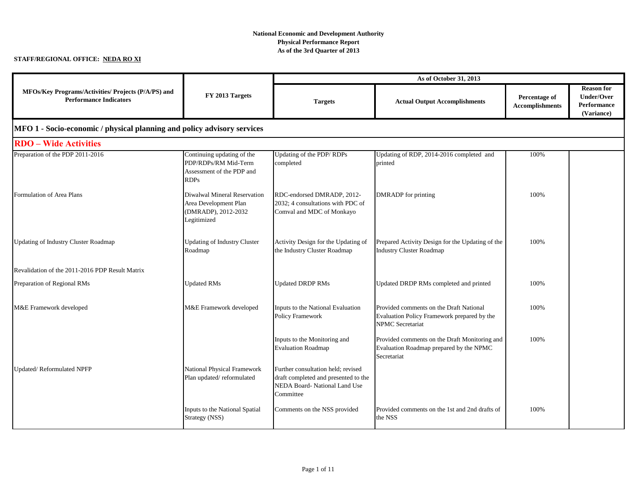## **National Economic and Development Authority Physical Performance Report As of the 3rd Quarter of 2013**

## **STAFF/REGIONAL OFFICE: NEDA RO XI**

|                                                                                      | FY 2013 Targets                                                                                | As of October 31, 2013                                                                                                   |                                                                                                            |                                         |                                                                     |  |
|--------------------------------------------------------------------------------------|------------------------------------------------------------------------------------------------|--------------------------------------------------------------------------------------------------------------------------|------------------------------------------------------------------------------------------------------------|-----------------------------------------|---------------------------------------------------------------------|--|
| MFOs/Key Programs/Activities/ Projects (P/A/PS) and<br><b>Performance Indicators</b> |                                                                                                | <b>Targets</b>                                                                                                           | <b>Actual Output Accomplishments</b>                                                                       | Percentage of<br><b>Accomplishments</b> | <b>Reason for</b><br><b>Under/Over</b><br>Performance<br>(Variance) |  |
| MFO 1 - Socio-economic / physical planning and policy advisory services              |                                                                                                |                                                                                                                          |                                                                                                            |                                         |                                                                     |  |
| <b>RDO</b> – Wide Activities                                                         |                                                                                                |                                                                                                                          |                                                                                                            |                                         |                                                                     |  |
| Preparation of the PDP 2011-2016                                                     | Continuing updating of the<br>PDP/RDPs/RM Mid-Term<br>Assessment of the PDP and<br><b>RDPs</b> | Updating of the PDP/RDPs<br>completed                                                                                    | Updating of RDP, 2014-2016 completed and<br>printed                                                        | 100%                                    |                                                                     |  |
| Formulation of Area Plans                                                            | Diwalwal Mineral Reservation<br>Area Development Plan<br>(DMRADP), 2012-2032<br>Legitimized    | RDC-endorsed DMRADP, 2012-<br>2032; 4 consultations with PDC of<br>Comval and MDC of Monkayo                             | DMRADP for printing                                                                                        | 100%                                    |                                                                     |  |
| <b>Updating of Industry Cluster Roadmap</b>                                          | <b>Updating of Industry Cluster</b><br>Roadmap                                                 | Activity Design for the Updating of<br>the Industry Cluster Roadmap                                                      | Prepared Activity Design for the Updating of the<br><b>Industry Cluster Roadmap</b>                        | 100%                                    |                                                                     |  |
| Revalidation of the 2011-2016 PDP Result Matrix                                      |                                                                                                |                                                                                                                          |                                                                                                            |                                         |                                                                     |  |
| Preparation of Regional RMs                                                          | <b>Updated RMs</b>                                                                             | <b>Updated DRDP RMs</b>                                                                                                  | Updated DRDP RMs completed and printed                                                                     | 100%                                    |                                                                     |  |
| M&E Framework developed                                                              | M&E Framework developed                                                                        | Inputs to the National Evaluation<br>Policy Framework                                                                    | Provided comments on the Draft National<br>Evaluation Policy Framework prepared by the<br>NPMC Secretariat | 100%                                    |                                                                     |  |
|                                                                                      |                                                                                                | Inputs to the Monitoring and<br><b>Evaluation Roadmap</b>                                                                | Provided comments on the Draft Monitoring and<br>Evaluation Roadmap prepared by the NPMC<br>Secretariat    | 100%                                    |                                                                     |  |
| Updated/Reformulated NPFP                                                            | <b>National Physical Framework</b><br>Plan updated/reformulated                                | Further consultation held; revised<br>draft completed and presented to the<br>NEDA Board- National Land Use<br>Committee |                                                                                                            |                                         |                                                                     |  |
|                                                                                      | Inputs to the National Spatial<br>Strategy (NSS)                                               | Comments on the NSS provided                                                                                             | Provided comments on the 1st and 2nd drafts of<br>the NSS                                                  | 100%                                    |                                                                     |  |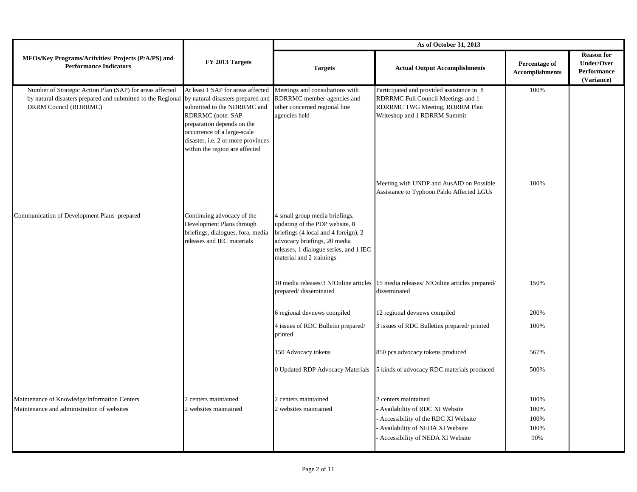|                                                                                                                                                  | FY 2013 Targets                                                                                                                                                                                                                                                 | As of October 31, 2013                                                                                                                                                                                         |                                                                                                                                                                      |                                         |                                                                     |
|--------------------------------------------------------------------------------------------------------------------------------------------------|-----------------------------------------------------------------------------------------------------------------------------------------------------------------------------------------------------------------------------------------------------------------|----------------------------------------------------------------------------------------------------------------------------------------------------------------------------------------------------------------|----------------------------------------------------------------------------------------------------------------------------------------------------------------------|-----------------------------------------|---------------------------------------------------------------------|
| MFOs/Key Programs/Activities/ Projects (P/A/PS) and<br><b>Performance Indicators</b>                                                             |                                                                                                                                                                                                                                                                 | <b>Targets</b>                                                                                                                                                                                                 | <b>Actual Output Accomplishments</b>                                                                                                                                 | Percentage of<br><b>Accomplishments</b> | <b>Reason for</b><br><b>Under/Over</b><br>Performance<br>(Variance) |
| Number of Strategic Action Plan (SAP) for areas affected<br>by natural disasters prepared and submitted to the Regional<br>DRRM Council (RDRRMC) | At least 1 SAP for areas affected<br>by natural disasters prepared and<br>submitted to the NDRRMC and<br>RDRRMC (note: SAP<br>preparation depends on the<br>occurrence of a large-scale<br>disaster, i.e. 2 or more provinces<br>within the region are affected | Meetings and consultations with<br>RDRRMC member-agencies and<br>other concerned regional line<br>agencies held                                                                                                | Participated and provided assistance in 8<br>RDRRMC Full Council Meetings and 1<br>RDRRMC TWG Meeting, RDRRM Plan<br>Writeshop and 1 RDRRM Summit                    | 100%                                    |                                                                     |
|                                                                                                                                                  |                                                                                                                                                                                                                                                                 |                                                                                                                                                                                                                | Meeting with UNDP and AusAID on Possible<br>Assistance to Typhoon Pablo Affected LGUs                                                                                | 100%                                    |                                                                     |
| Communication of Development Plans prepared                                                                                                      | Continuing advocacy of the<br>Development Plans through<br>briefings, dialogues, fora, media<br>releases and IEC materials                                                                                                                                      | 4 small group media briefings,<br>updating of the PDP website, 8<br>briefings (4 local and 4 foreign), 2<br>advocacy briefings, 20 media<br>releases, 1 dialogue series, and 1 IEC<br>material and 2 trainings |                                                                                                                                                                      |                                         |                                                                     |
|                                                                                                                                                  |                                                                                                                                                                                                                                                                 | prepared/disseminated                                                                                                                                                                                          | 10 media releases/3 N!Online articles 15 media releases/ N!Online articles prepared/<br>disseminated                                                                 | 150%                                    |                                                                     |
|                                                                                                                                                  |                                                                                                                                                                                                                                                                 | 6 regional devnews compiled                                                                                                                                                                                    | 12 regional devnews compiled                                                                                                                                         | 200%                                    |                                                                     |
|                                                                                                                                                  |                                                                                                                                                                                                                                                                 | 4 issues of RDC Bulletin prepared/<br>printed                                                                                                                                                                  | 3 issues of RDC Bulletins prepared/printed                                                                                                                           | 100%                                    |                                                                     |
|                                                                                                                                                  |                                                                                                                                                                                                                                                                 | 150 Advocacy tokens                                                                                                                                                                                            | 850 pcs advocacy tokens produced                                                                                                                                     | 567%                                    |                                                                     |
|                                                                                                                                                  |                                                                                                                                                                                                                                                                 | 0 Updated RDP Advocacy Materials                                                                                                                                                                               | 5 kinds of advocacy RDC materials produced                                                                                                                           | 500%                                    |                                                                     |
| Maintenance of Knowledge/Information Centers<br>Maintenance and administration of websites                                                       | 2 centers maintained<br>2 websites maintained                                                                                                                                                                                                                   | 2 centers maintained<br>2 websites maintained                                                                                                                                                                  | 2 centers maintained<br>Availability of RDC XI Website<br>Accessibility of the RDC XI Website<br>Availability of NEDA XI Website<br>Accessibility of NEDA XI Website | 100%<br>100%<br>100%<br>100%<br>90%     |                                                                     |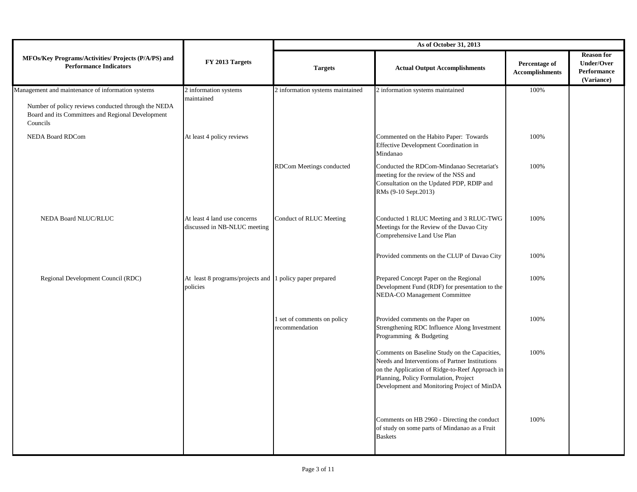|                                                                                                                      |                                                                      | As of October 31, 2013                        |                                                                                                                                                                                                                                             |                                         |                                                                     |
|----------------------------------------------------------------------------------------------------------------------|----------------------------------------------------------------------|-----------------------------------------------|---------------------------------------------------------------------------------------------------------------------------------------------------------------------------------------------------------------------------------------------|-----------------------------------------|---------------------------------------------------------------------|
| MFOs/Key Programs/Activities/ Projects (P/A/PS) and<br><b>Performance Indicators</b>                                 | FY 2013 Targets                                                      | <b>Targets</b>                                | <b>Actual Output Accomplishments</b>                                                                                                                                                                                                        | Percentage of<br><b>Accomplishments</b> | <b>Reason for</b><br><b>Under/Over</b><br>Performance<br>(Variance) |
| Management and maintenance of information systems                                                                    | 2 information systems                                                | 2 information systems maintained              | 2 information systems maintained                                                                                                                                                                                                            | 100%                                    |                                                                     |
| Number of policy reviews conducted through the NEDA<br>Board and its Committees and Regional Development<br>Councils | maintained                                                           |                                               |                                                                                                                                                                                                                                             |                                         |                                                                     |
| <b>NEDA Board RDCom</b>                                                                                              | At least 4 policy reviews                                            |                                               | Commented on the Habito Paper: Towards<br>Effective Development Coordination in<br>Mindanao                                                                                                                                                 | 100%                                    |                                                                     |
|                                                                                                                      |                                                                      | RDCom Meetings conducted                      | Conducted the RDCom-Mindanao Secretariat's<br>meeting for the review of the NSS and<br>Consultation on the Updated PDP, RDIP and<br>RMs (9-10 Sept.2013)                                                                                    | 100%                                    |                                                                     |
| NEDA Board NLUC/RLUC                                                                                                 | At least 4 land use concerns<br>discussed in NB-NLUC meeting         | Conduct of RLUC Meeting                       | Conducted 1 RLUC Meeting and 3 RLUC-TWG<br>Meetings for the Review of the Davao City<br>Comprehensive Land Use Plan                                                                                                                         | 100%                                    |                                                                     |
|                                                                                                                      |                                                                      |                                               | Provided comments on the CLUP of Davao City                                                                                                                                                                                                 | 100%                                    |                                                                     |
| Regional Development Council (RDC)                                                                                   | At least 8 programs/projects and 1 policy paper prepared<br>policies |                                               | Prepared Concept Paper on the Regional<br>Development Fund (RDF) for presentation to the<br>NEDA-CO Management Committee                                                                                                                    | 100%                                    |                                                                     |
|                                                                                                                      |                                                                      | 1 set of comments on policy<br>recommendation | Provided comments on the Paper on<br>Strengthening RDC Influence Along Investment<br>Programming & Budgeting                                                                                                                                | 100%                                    |                                                                     |
|                                                                                                                      |                                                                      |                                               | Comments on Baseline Study on the Capacities,<br>Needs and Interventions of Partner Institutions<br>on the Application of Ridge-to-Reef Approach in<br>Planning, Policy Formulation, Project<br>Development and Monitoring Project of MinDA | 100%                                    |                                                                     |
|                                                                                                                      |                                                                      |                                               | Comments on HB 2960 - Directing the conduct<br>of study on some parts of Mindanao as a Fruit<br><b>Baskets</b>                                                                                                                              | 100%                                    |                                                                     |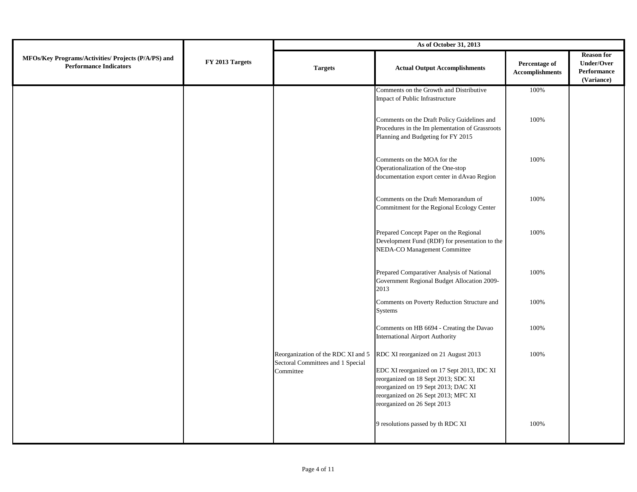|                                                                                      | FY 2013 Targets | As of October 31, 2013                                                               |                                                                                                                                                                                                                                        |                                         |                                                                     |  |
|--------------------------------------------------------------------------------------|-----------------|--------------------------------------------------------------------------------------|----------------------------------------------------------------------------------------------------------------------------------------------------------------------------------------------------------------------------------------|-----------------------------------------|---------------------------------------------------------------------|--|
| MFOs/Key Programs/Activities/ Projects (P/A/PS) and<br><b>Performance Indicators</b> |                 | <b>Targets</b>                                                                       | <b>Actual Output Accomplishments</b>                                                                                                                                                                                                   | Percentage of<br><b>Accomplishments</b> | <b>Reason for</b><br><b>Under/Over</b><br>Performance<br>(Variance) |  |
|                                                                                      |                 |                                                                                      | Comments on the Growth and Distributive<br>Impact of Public Infrastructure                                                                                                                                                             | 100%                                    |                                                                     |  |
|                                                                                      |                 |                                                                                      | Comments on the Draft Policy Guidelines and<br>Procedures in the Im plementation of Grassroots<br>Planning and Budgeting for FY 2015                                                                                                   | 100%                                    |                                                                     |  |
|                                                                                      |                 |                                                                                      | Comments on the MOA for the<br>Operationalization of the One-stop<br>documentation export center in dAvao Region                                                                                                                       | 100%                                    |                                                                     |  |
|                                                                                      |                 |                                                                                      | Comments on the Draft Memorandum of<br>Commitment for the Regional Ecology Center                                                                                                                                                      | 100%                                    |                                                                     |  |
|                                                                                      |                 |                                                                                      | Prepared Concept Paper on the Regional<br>Development Fund (RDF) for presentation to the<br>NEDA-CO Management Committee                                                                                                               | 100%                                    |                                                                     |  |
|                                                                                      |                 |                                                                                      | Prepared Comparativer Analysis of National<br>Government Regional Budget Allocation 2009-<br>2013                                                                                                                                      | 100%                                    |                                                                     |  |
|                                                                                      |                 |                                                                                      | Comments on Poverty Reduction Structure and<br><b>Systems</b>                                                                                                                                                                          | 100%                                    |                                                                     |  |
|                                                                                      |                 |                                                                                      | Comments on HB 6694 - Creating the Davao<br>International Airport Authority                                                                                                                                                            | 100%                                    |                                                                     |  |
|                                                                                      |                 | Reorganization of the RDC XI and 5<br>Sectoral Committees and 1 Special<br>Committee | RDC XI reorganized on 21 August 2013<br>EDC XI reorganized on 17 Sept 2013, IDC XI<br>reorganized on 18 Sept 2013; SDC XI<br>reorganized on 19 Sept 2013; DAC XI<br>reorganized on 26 Sept 2013; MFC XI<br>reorganized on 26 Sept 2013 | 100%                                    |                                                                     |  |
|                                                                                      |                 |                                                                                      | 9 resolutions passed by th RDC XI                                                                                                                                                                                                      | 100%                                    |                                                                     |  |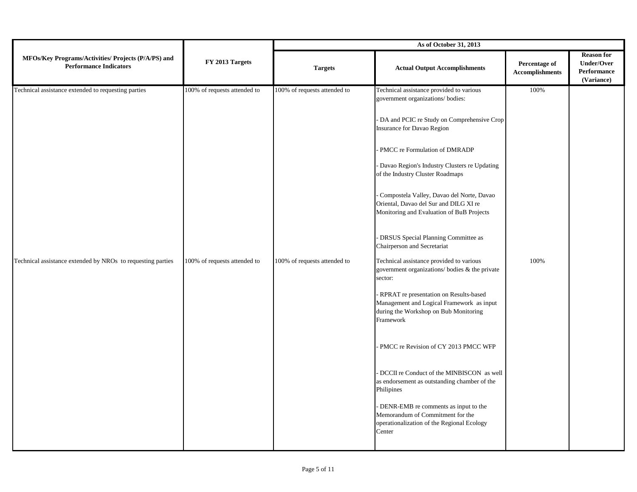|                                                                                      | FY 2013 Targets              | As of October 31, 2013       |                                                                                                                                           |                                         |                                                                     |  |
|--------------------------------------------------------------------------------------|------------------------------|------------------------------|-------------------------------------------------------------------------------------------------------------------------------------------|-----------------------------------------|---------------------------------------------------------------------|--|
| MFOs/Key Programs/Activities/ Projects (P/A/PS) and<br><b>Performance Indicators</b> |                              | <b>Targets</b>               | <b>Actual Output Accomplishments</b>                                                                                                      | Percentage of<br><b>Accomplishments</b> | <b>Reason for</b><br><b>Under/Over</b><br>Performance<br>(Variance) |  |
| Technical assistance extended to requesting parties                                  | 100% of requests attended to | 100% of requests attended to | Technical assistance provided to various<br>government organizations/ bodies:                                                             | 100%                                    |                                                                     |  |
|                                                                                      |                              |                              | DA and PCIC re Study on Comprehensive Crop<br><b>Insurance for Davao Region</b>                                                           |                                         |                                                                     |  |
|                                                                                      |                              |                              | PMCC re Formulation of DMRADP                                                                                                             |                                         |                                                                     |  |
|                                                                                      |                              |                              | Davao Region's Industry Clusters re Updating<br>of the Industry Cluster Roadmaps                                                          |                                         |                                                                     |  |
|                                                                                      |                              |                              | Compostela Valley, Davao del Norte, Davao<br>Oriental, Davao del Sur and DILG XI re<br>Monitoring and Evaluation of BuB Projects          |                                         |                                                                     |  |
|                                                                                      |                              |                              | DRSUS Special Planning Committee as<br>Chairperson and Secretariat                                                                        |                                         |                                                                     |  |
| Technical assistance extended by NROs to requesting parties                          | 100% of requests attended to | 100% of requests attended to | Technical assistance provided to various<br>government organizations/ bodies & the private<br>sector:                                     | 100%                                    |                                                                     |  |
|                                                                                      |                              |                              | RPRAT re presentation on Results-based<br>Management and Logical Framework as input<br>during the Workshop on Bub Monitoring<br>Framework |                                         |                                                                     |  |
|                                                                                      |                              |                              | PMCC re Revision of CY 2013 PMCC WFP                                                                                                      |                                         |                                                                     |  |
|                                                                                      |                              |                              | DCCII re Conduct of the MINBISCON as well<br>as endorsement as outstanding chamber of the<br>Philipines                                   |                                         |                                                                     |  |
|                                                                                      |                              |                              | DENR-EMB re comments as input to the<br>Memorandum of Commitment for the<br>operationalization of the Regional Ecology<br>Center          |                                         |                                                                     |  |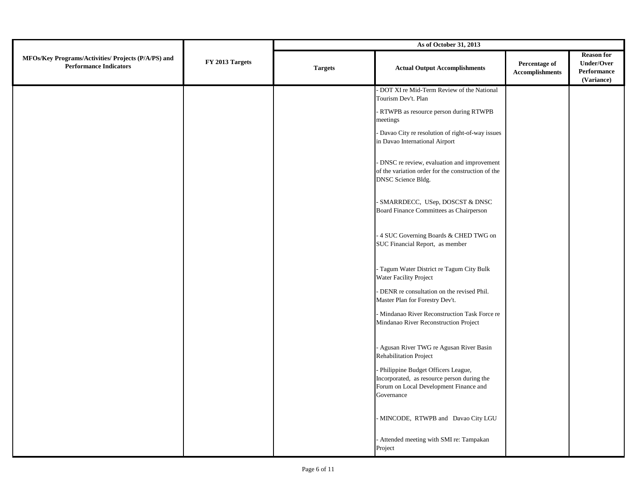|                                                                                      | FY 2013 Targets | As of October 31, 2013 |                                                                                                                                             |                                         |                                                                     |  |
|--------------------------------------------------------------------------------------|-----------------|------------------------|---------------------------------------------------------------------------------------------------------------------------------------------|-----------------------------------------|---------------------------------------------------------------------|--|
| MFOs/Key Programs/Activities/ Projects (P/A/PS) and<br><b>Performance Indicators</b> |                 | <b>Targets</b>         | <b>Actual Output Accomplishments</b>                                                                                                        | Percentage of<br><b>Accomplishments</b> | <b>Reason for</b><br><b>Under/Over</b><br>Performance<br>(Variance) |  |
|                                                                                      |                 |                        | - DOT XI re Mid-Term Review of the National<br>Tourism Dev't. Plan                                                                          |                                         |                                                                     |  |
|                                                                                      |                 |                        | - RTWPB as resource person during RTWPB<br>meetings                                                                                         |                                         |                                                                     |  |
|                                                                                      |                 |                        | - Davao City re resolution of right-of-way issues<br>in Davao International Airport                                                         |                                         |                                                                     |  |
|                                                                                      |                 |                        | - DNSC re review, evaluation and improvement<br>of the variation order for the construction of the<br>DNSC Science Bldg.                    |                                         |                                                                     |  |
|                                                                                      |                 |                        | - SMARRDECC, USep, DOSCST & DNSC<br>Board Finance Committees as Chairperson                                                                 |                                         |                                                                     |  |
|                                                                                      |                 |                        | - 4 SUC Governing Boards & CHED TWG on<br>SUC Financial Report, as member                                                                   |                                         |                                                                     |  |
|                                                                                      |                 |                        | - Tagum Water District re Tagum City Bulk<br>Water Facility Project                                                                         |                                         |                                                                     |  |
|                                                                                      |                 |                        | - DENR re consultation on the revised Phil.<br>Master Plan for Forestry Dev't.                                                              |                                         |                                                                     |  |
|                                                                                      |                 |                        | - Mindanao River Reconstruction Task Force re<br>Mindanao River Reconstruction Project                                                      |                                         |                                                                     |  |
|                                                                                      |                 |                        | - Agusan River TWG re Agusan River Basin<br>Rehabilitation Project                                                                          |                                         |                                                                     |  |
|                                                                                      |                 |                        | - Philippine Budget Officers League,<br>Incorporated, as resource person during the<br>Forum on Local Development Finance and<br>Governance |                                         |                                                                     |  |
|                                                                                      |                 |                        | - MINCODE, RTWPB and Davao City LGU                                                                                                         |                                         |                                                                     |  |
|                                                                                      |                 |                        | - Attended meeting with SMI re: Tampakan<br>Project                                                                                         |                                         |                                                                     |  |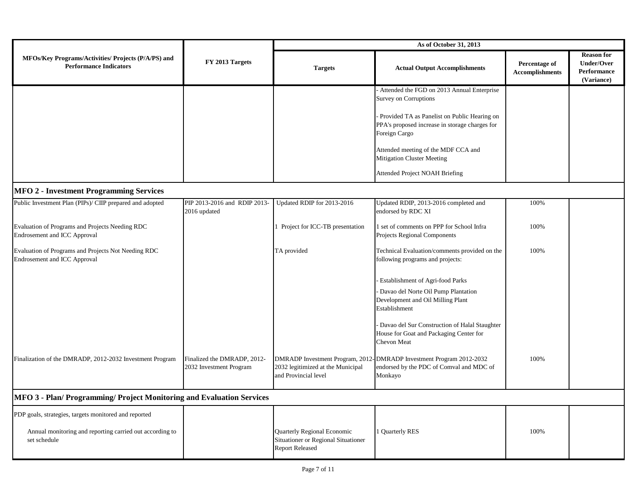|                                                                                      | FY 2013 Targets                                        | As of October 31, 2013                                    |                                                                                                                            |                                         |                                                                     |
|--------------------------------------------------------------------------------------|--------------------------------------------------------|-----------------------------------------------------------|----------------------------------------------------------------------------------------------------------------------------|-----------------------------------------|---------------------------------------------------------------------|
| MFOs/Key Programs/Activities/ Projects (P/A/PS) and<br><b>Performance Indicators</b> |                                                        | <b>Targets</b>                                            | <b>Actual Output Accomplishments</b>                                                                                       | Percentage of<br><b>Accomplishments</b> | <b>Reason for</b><br><b>Under/Over</b><br>Performance<br>(Variance) |
|                                                                                      |                                                        |                                                           | Attended the FGD on 2013 Annual Enterprise<br><b>Survey on Corruptions</b>                                                 |                                         |                                                                     |
|                                                                                      |                                                        |                                                           | Provided TA as Panelist on Public Hearing on<br>PPA's proposed increase in storage charges for<br>Foreign Cargo            |                                         |                                                                     |
|                                                                                      |                                                        |                                                           | Attended meeting of the MDF CCA and<br><b>Mitigation Cluster Meeting</b>                                                   |                                         |                                                                     |
|                                                                                      |                                                        |                                                           | <b>Attended Project NOAH Briefing</b>                                                                                      |                                         |                                                                     |
| <b>MFO 2 - Investment Programming Services</b>                                       |                                                        |                                                           |                                                                                                                            |                                         |                                                                     |
| Public Investment Plan (PIPs)/ CIIP prepared and adopted                             | PIP 2013-2016 and RDIP 2013-<br>2016 updated           | Updated RDIP for 2013-2016                                | Updated RDIP, 2013-2016 completed and<br>endorsed by RDC XI                                                                | 100%                                    |                                                                     |
| Evaluation of Programs and Projects Needing RDC<br>Endrosement and ICC Approval      |                                                        | 1 Project for ICC-TB presentation                         | 1 set of comments on PPP for School Infra<br>Projects Regional Components                                                  | 100%                                    |                                                                     |
| Evaluation of Programs and Projects Not Needing RDC<br>Endrosement and ICC Approval  |                                                        | TA provided                                               | Technical Evaluation/comments provided on the<br>following programs and projects:                                          | 100%                                    |                                                                     |
|                                                                                      |                                                        |                                                           | Establishment of Agri-food Parks                                                                                           |                                         |                                                                     |
|                                                                                      |                                                        |                                                           | Davao del Norte Oil Pump Plantation<br>Development and Oil Milling Plant<br>Establishment                                  |                                         |                                                                     |
|                                                                                      |                                                        |                                                           | Davao del Sur Construction of Halal Staughter<br>House for Goat and Packaging Center for<br><b>Chevon Meat</b>             |                                         |                                                                     |
| Finalization of the DMRADP, 2012-2032 Investment Program                             | Finalized the DMRADP, 2012-<br>2032 Investment Program | 2032 legitimized at the Municipal<br>and Provincial level | DMRADP Investment Program, 2012-DMRADP Investment Program 2012-2032<br>endorsed by the PDC of Comval and MDC of<br>Monkayo | 100%                                    |                                                                     |
| MFO 3 - Plan/ Programming/ Project Monitoring and Evaluation Services                |                                                        |                                                           |                                                                                                                            |                                         |                                                                     |
| PDP goals, strategies, targets monitored and reported                                |                                                        |                                                           |                                                                                                                            |                                         |                                                                     |
| Annual monitoring and reporting carried out according to                             |                                                        | Quarterly Regional Economic                               | 1 Quarterly RES                                                                                                            | 100%                                    |                                                                     |

Situationer or Regional Situationer

Report Released

set schedule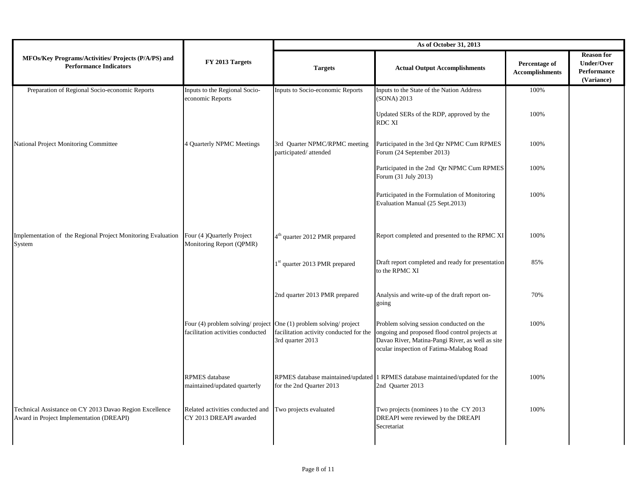|                                                                                                     | FY 2013 Targets                                                                                         | As of October 31, 2013                                      |                                                                                                                                                                                            |                                         |                                                                     |
|-----------------------------------------------------------------------------------------------------|---------------------------------------------------------------------------------------------------------|-------------------------------------------------------------|--------------------------------------------------------------------------------------------------------------------------------------------------------------------------------------------|-----------------------------------------|---------------------------------------------------------------------|
| MFOs/Key Programs/Activities/ Projects (P/A/PS) and<br><b>Performance Indicators</b>                |                                                                                                         | <b>Targets</b>                                              | <b>Actual Output Accomplishments</b>                                                                                                                                                       | Percentage of<br><b>Accomplishments</b> | <b>Reason for</b><br><b>Under/Over</b><br>Performance<br>(Variance) |
| Preparation of Regional Socio-economic Reports                                                      | Inputs to the Regional Socio-<br>economic Reports                                                       | Inputs to Socio-economic Reports                            | Inputs to the State of the Nation Address<br>(SONA) 2013                                                                                                                                   | 100%                                    |                                                                     |
|                                                                                                     |                                                                                                         |                                                             | Updated SERs of the RDP, approved by the<br><b>RDC XI</b>                                                                                                                                  | 100%                                    |                                                                     |
| National Project Monitoring Committee                                                               | 4 Quarterly NPMC Meetings                                                                               | 3rd Quarter NPMC/RPMC meeting<br>participated/attended      | Participated in the 3rd Qtr NPMC Cum RPMES<br>Forum (24 September 2013)                                                                                                                    | 100%                                    |                                                                     |
|                                                                                                     |                                                                                                         |                                                             | Participated in the 2nd Qtr NPMC Cum RPMES<br>Forum (31 July 2013)                                                                                                                         | 100%                                    |                                                                     |
|                                                                                                     |                                                                                                         |                                                             | Participated in the Formulation of Monitoring<br>Evaluation Manual (25 Sept.2013)                                                                                                          | 100%                                    |                                                                     |
| Implementation of the Regional Project Monitoring Evaluation<br>System                              | Four (4 )Quarterly Project<br>Monitoring Report (QPMR)                                                  | 4 <sup>th</sup> quarter 2012 PMR prepared                   | Report completed and presented to the RPMC XI                                                                                                                                              | 100%                                    |                                                                     |
|                                                                                                     |                                                                                                         | 1 <sup>st</sup> quarter 2013 PMR prepared                   | Draft report completed and ready for presentation<br>to the RPMC XI                                                                                                                        | 85%                                     |                                                                     |
|                                                                                                     |                                                                                                         | 2nd quarter 2013 PMR prepared                               | Analysis and write-up of the draft report on-<br>going                                                                                                                                     | 70%                                     |                                                                     |
|                                                                                                     | Four (4) problem solving/ project One (1) problem solving/ project<br>facilitation activities conducted | facilitation activity conducted for the<br>3rd quarter 2013 | Problem solving session conducted on the<br>ongoing and proposed flood control projects at<br>Davao River, Matina-Pangi River, as well as site<br>ocular inspection of Fatima-Malabog Road | 100%                                    |                                                                     |
|                                                                                                     | <b>RPMES</b> database<br>maintained/updated quarterly                                                   | for the 2nd Quarter 2013                                    | RPMES database maintained/updated 1 RPMES database maintained/updated for the<br>2nd Quarter 2013                                                                                          | 100%                                    |                                                                     |
| Technical Assistance on CY 2013 Davao Region Excellence<br>Award in Project Implementation (DREAPI) | Related activities conducted and<br>CY 2013 DREAPI awarded                                              | Two projects evaluated                                      | Two projects (nominees) to the CY 2013<br>DREAPI were reviewed by the DREAPI<br>Secretariat                                                                                                | 100%                                    |                                                                     |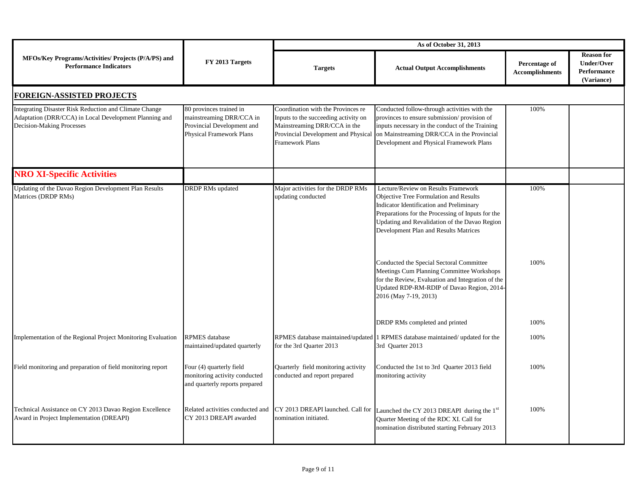|                                                                                                                                               | FY 2013 Targets                                                                                                      | As of October 31, 2013                                                                                                                                               |                                                                                                                                                                                                                                                                                                                                                                                                                                                                                                      |                                         |                                                                     |
|-----------------------------------------------------------------------------------------------------------------------------------------------|----------------------------------------------------------------------------------------------------------------------|----------------------------------------------------------------------------------------------------------------------------------------------------------------------|------------------------------------------------------------------------------------------------------------------------------------------------------------------------------------------------------------------------------------------------------------------------------------------------------------------------------------------------------------------------------------------------------------------------------------------------------------------------------------------------------|-----------------------------------------|---------------------------------------------------------------------|
| MFOs/Key Programs/Activities/ Projects (P/A/PS) and<br><b>Performance Indicators</b>                                                          |                                                                                                                      | <b>Targets</b>                                                                                                                                                       | <b>Actual Output Accomplishments</b>                                                                                                                                                                                                                                                                                                                                                                                                                                                                 | Percentage of<br><b>Accomplishments</b> | <b>Reason for</b><br><b>Under/Over</b><br>Performance<br>(Variance) |
| <b>FOREIGN-ASSISTED PROJECTS</b>                                                                                                              |                                                                                                                      |                                                                                                                                                                      |                                                                                                                                                                                                                                                                                                                                                                                                                                                                                                      |                                         |                                                                     |
| Integrating Disaster Risk Reduction and Climate Change<br>Adaptation (DRR/CCA) in Local Development Planning and<br>Decision-Making Processes | 80 provinces trained in<br>mainstreaming DRR/CCA in<br>Provincial Development and<br><b>Physical Framework Plans</b> | Coordination with the Provinces re<br>Inputs to the succeeding activity on<br>Mainstreaming DRR/CCA in the<br>Provincial Development and Physical<br>Framework Plans | Conducted follow-through activities with the<br>provinces to ensure submission/provision of<br>inputs necessary in the conduct of the Training<br>on Mainstreaming DRR/CCA in the Provincial<br>Development and Physical Framework Plans                                                                                                                                                                                                                                                             | 100%                                    |                                                                     |
| <b>NRO XI-Specific Activities</b>                                                                                                             |                                                                                                                      |                                                                                                                                                                      |                                                                                                                                                                                                                                                                                                                                                                                                                                                                                                      |                                         |                                                                     |
| Updating of the Davao Region Development Plan Results<br>Matrices (DRDP RMs)                                                                  | <b>DRDP</b> RM <sub>s</sub> updated                                                                                  | Major activities for the DRDP RMs<br>updating conducted                                                                                                              | Lecture/Review on Results Framework<br>Objective Tree Formulation and Results<br><b>Indicator Identification and Preliminary</b><br>Preparations for the Processing of Inputs for the<br>Updating and Revalidation of the Davao Region<br>Development Plan and Results Matrices<br>Conducted the Special Sectoral Committee<br>Meetings Cum Planning Committee Workshops<br>for the Review, Evaluation and Integration of the<br>Updated RDP-RM-RDIP of Davao Region, 2014-<br>2016 (May 7-19, 2013) | 100%<br>100%                            |                                                                     |
| Implementation of the Regional Project Monitoring Evaluation                                                                                  | <b>RPMES</b> database<br>maintained/updated quarterly                                                                | for the 3rd Quarter 2013                                                                                                                                             | DRDP RMs completed and printed<br>RPMES database maintained/updated 1 RPMES database maintained/ updated for the<br>3rd Quarter 2013                                                                                                                                                                                                                                                                                                                                                                 | 100%<br>100%                            |                                                                     |
| Field monitoring and preparation of field monitoring report                                                                                   | Four (4) quarterly field<br>monitoring activity conducted<br>and quarterly reports prepared                          | Quarterly field monitoring activity<br>conducted and report prepared                                                                                                 | Conducted the 1st to 3rd Quarter 2013 field<br>monitoring activity                                                                                                                                                                                                                                                                                                                                                                                                                                   | 100%                                    |                                                                     |
| Technical Assistance on CY 2013 Davao Region Excellence<br>Award in Project Implementation (DREAPI)                                           | Related activities conducted and<br>CY 2013 DREAPI awarded                                                           | CY 2013 DREAPI launched. Call for<br>nomination initiated.                                                                                                           | Launched the CY 2013 DREAPI during the 1 <sup>st</sup><br>Quarter Meeting of the RDC XI. Call for<br>nomination distributed starting February 2013                                                                                                                                                                                                                                                                                                                                                   | 100%                                    |                                                                     |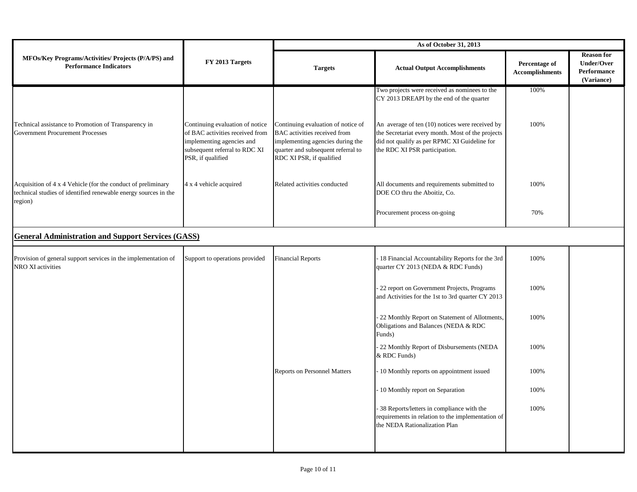|                                                                                                                                            | FY 2013 Targets                                                                                                                                       | As of October 31, 2013                                                                                                                                                   |                                                                                                                                                                                       |                                         |                                                                     |
|--------------------------------------------------------------------------------------------------------------------------------------------|-------------------------------------------------------------------------------------------------------------------------------------------------------|--------------------------------------------------------------------------------------------------------------------------------------------------------------------------|---------------------------------------------------------------------------------------------------------------------------------------------------------------------------------------|-----------------------------------------|---------------------------------------------------------------------|
| MFOs/Key Programs/Activities/ Projects (P/A/PS) and<br><b>Performance Indicators</b>                                                       |                                                                                                                                                       | <b>Targets</b>                                                                                                                                                           | <b>Actual Output Accomplishments</b>                                                                                                                                                  | Percentage of<br><b>Accomplishments</b> | <b>Reason for</b><br><b>Under/Over</b><br>Performance<br>(Variance) |
|                                                                                                                                            |                                                                                                                                                       |                                                                                                                                                                          | Two projects were received as nominees to the<br>CY 2013 DREAPI by the end of the quarter                                                                                             | 100%                                    |                                                                     |
| Technical assistance to Promotion of Transparency in<br><b>Government Procurement Processes</b>                                            | Continuing evaluation of notice<br>of BAC activities received from<br>implementing agencies and<br>subsequent referral to RDC XI<br>PSR, if qualified | Continuing evaluation of notice of<br>BAC activities received from<br>implementing agencies during the<br>quarter and subsequent referral to<br>RDC XI PSR, if qualified | An average of ten (10) notices were received by<br>the Secretariat every month. Most of the projects<br>did not qualify as per RPMC XI Guideline for<br>the RDC XI PSR participation. | 100%                                    |                                                                     |
| Acquisition of 4 x 4 Vehicle (for the conduct of preliminary<br>technical studies of identified renewable energy sources in the<br>region) | 4 x 4 vehicle acquired                                                                                                                                | Related activities conducted                                                                                                                                             | All documents and requirements submitted to<br>DOE CO thru the Aboitiz, Co.                                                                                                           | 100%                                    |                                                                     |
|                                                                                                                                            |                                                                                                                                                       |                                                                                                                                                                          | Procurement process on-going                                                                                                                                                          | 70%                                     |                                                                     |
| <b>General Administration and Support Services (GASS)</b>                                                                                  |                                                                                                                                                       |                                                                                                                                                                          |                                                                                                                                                                                       |                                         |                                                                     |
| Provision of general support services in the implementation of<br>NRO XI activities                                                        | Support to operations provided                                                                                                                        | <b>Financial Reports</b>                                                                                                                                                 | 18 Financial Accountability Reports for the 3rd<br>quarter CY 2013 (NEDA & RDC Funds)                                                                                                 | 100%                                    |                                                                     |
|                                                                                                                                            |                                                                                                                                                       |                                                                                                                                                                          | 22 report on Government Projects, Programs<br>and Activities for the 1st to 3rd quarter CY 2013                                                                                       | 100%                                    |                                                                     |
|                                                                                                                                            |                                                                                                                                                       |                                                                                                                                                                          | 22 Monthly Report on Statement of Allotments,<br>Obligations and Balances (NEDA & RDC<br>Funds)                                                                                       | 100%                                    |                                                                     |
|                                                                                                                                            |                                                                                                                                                       |                                                                                                                                                                          | 22 Monthly Report of Disbursements (NEDA<br>& RDC Funds)                                                                                                                              | 100%                                    |                                                                     |
|                                                                                                                                            |                                                                                                                                                       | <b>Reports on Personnel Matters</b>                                                                                                                                      | 10 Monthly reports on appointment issued                                                                                                                                              | 100%                                    |                                                                     |
|                                                                                                                                            |                                                                                                                                                       |                                                                                                                                                                          | 10 Monthly report on Separation                                                                                                                                                       | 100%                                    |                                                                     |
|                                                                                                                                            |                                                                                                                                                       |                                                                                                                                                                          | 38 Reports/letters in compliance with the<br>requirements in relation to the implementation of<br>the NEDA Rationalization Plan                                                       | 100%                                    |                                                                     |
|                                                                                                                                            |                                                                                                                                                       |                                                                                                                                                                          |                                                                                                                                                                                       |                                         |                                                                     |